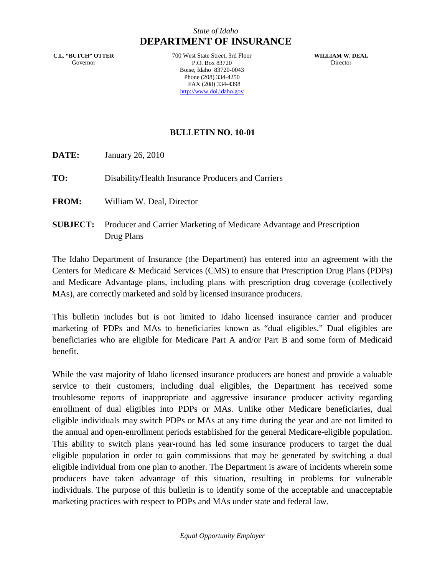# *State of Idaho* **DEPARTMENT OF INSURANCE**

**C.L. "BUTCH" OTTER** Governor

700 West State Street, 3rd Floor P.O. Box 83720 Boise, Idaho 83720-0043 Phone (208) 334-4250 FAX (208) 334-4398 http://www.doi.idaho.gov

**WILLIAM W. DEAL** Director

## **BULLETIN NO. 10-01**

**DATE:** January 26, 2010

**TO:** Disability/Health Insurance Producers and Carriers

**FROM:** William W. Deal, Director

**SUBJECT:** Producer and Carrier Marketing of Medicare Advantage and Prescription Drug Plans

The Idaho Department of Insurance (the Department) has entered into an agreement with the Centers for Medicare & Medicaid Services (CMS) to ensure that Prescription Drug Plans (PDPs) and Medicare Advantage plans, including plans with prescription drug coverage (collectively MAs), are correctly marketed and sold by licensed insurance producers.

This bulletin includes but is not limited to Idaho licensed insurance carrier and producer marketing of PDPs and MAs to beneficiaries known as "dual eligibles." Dual eligibles are beneficiaries who are eligible for Medicare Part A and/or Part B and some form of Medicaid benefit.

While the vast majority of Idaho licensed insurance producers are honest and provide a valuable service to their customers, including dual eligibles, the Department has received some troublesome reports of inappropriate and aggressive insurance producer activity regarding enrollment of dual eligibles into PDPs or MAs. Unlike other Medicare beneficiaries, dual eligible individuals may switch PDPs or MAs at any time during the year and are not limited to the annual and open-enrollment periods established for the general Medicare-eligible population. This ability to switch plans year-round has led some insurance producers to target the dual eligible population in order to gain commissions that may be generated by switching a dual eligible individual from one plan to another. The Department is aware of incidents wherein some producers have taken advantage of this situation, resulting in problems for vulnerable individuals. The purpose of this bulletin is to identify some of the acceptable and unacceptable marketing practices with respect to PDPs and MAs under state and federal law.

*Equal Opportunity Employer*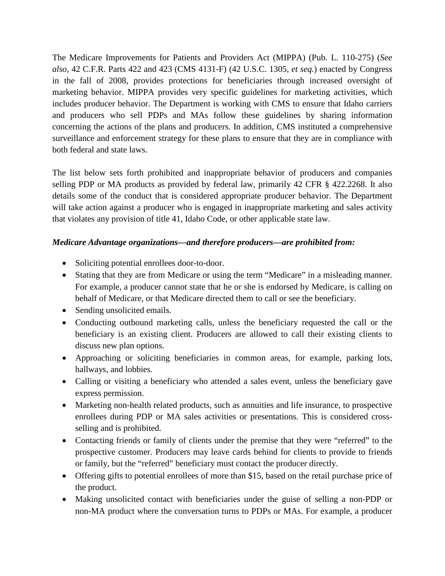The Medicare Improvements for Patients and Providers Act (MIPPA) (Pub. L. 110-275) (*See also,* 42 C.F.R. Parts 422 and 423 (CMS 4131-F) (42 U.S.C. 1305, *et seq.*) enacted by Congress in the fall of 2008, provides protections for beneficiaries through increased oversight of marketing behavior. MIPPA provides very specific guidelines for marketing activities, which includes producer behavior. The Department is working with CMS to ensure that Idaho carriers and producers who sell PDPs and MAs follow these guidelines by sharing information concerning the actions of the plans and producers. In addition, CMS instituted a comprehensive surveillance and enforcement strategy for these plans to ensure that they are in compliance with both federal and state laws.

The list below sets forth prohibited and inappropriate behavior of producers and companies selling PDP or MA products as provided by federal law, primarily 42 CFR § 422.2268. It also details some of the conduct that is considered appropriate producer behavior. The Department will take action against a producer who is engaged in inappropriate marketing and sales activity that violates any provision of title 41, Idaho Code, or other applicable state law.

# *Medicare Advantage organizations—and therefore producers—are prohibited from:*

- Soliciting potential enrollees door-to-door.
- Stating that they are from Medicare or using the term "Medicare" in a misleading manner. For example, a producer cannot state that he or she is endorsed by Medicare, is calling on behalf of Medicare, or that Medicare directed them to call or see the beneficiary.
- Sending unsolicited emails.
- Conducting outbound marketing calls, unless the beneficiary requested the call or the beneficiary is an existing client. Producers are allowed to call their existing clients to discuss new plan options.
- Approaching or soliciting beneficiaries in common areas, for example, parking lots, hallways, and lobbies.
- Calling or visiting a beneficiary who attended a sales event, unless the beneficiary gave express permission.
- Marketing non-health related products, such as annuities and life insurance, to prospective enrollees during PDP or MA sales activities or presentations. This is considered crossselling and is prohibited.
- Contacting friends or family of clients under the premise that they were "referred" to the prospective customer. Producers may leave cards behind for clients to provide to friends or family, but the "referred" beneficiary must contact the producer directly.
- Offering gifts to potential enrollees of more than \$15, based on the retail purchase price of the product.
- Making unsolicited contact with beneficiaries under the guise of selling a non-PDP or non-MA product where the conversation turns to PDPs or MAs. For example, a producer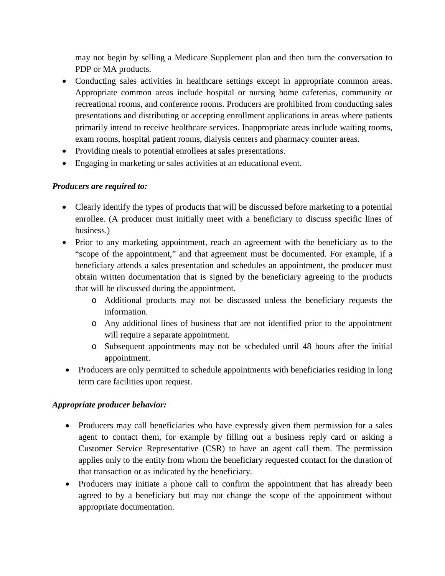may not begin by selling a Medicare Supplement plan and then turn the conversation to PDP or MA products.

- Conducting sales activities in healthcare settings except in appropriate common areas. Appropriate common areas include hospital or nursing home cafeterias, community or recreational rooms, and conference rooms. Producers are prohibited from conducting sales presentations and distributing or accepting enrollment applications in areas where patients primarily intend to receive healthcare services. Inappropriate areas include waiting rooms, exam rooms, hospital patient rooms, dialysis centers and pharmacy counter areas.
- Providing meals to potential enrollees at sales presentations.
- Engaging in marketing or sales activities at an educational event.

## *Producers are required to:*

- Clearly identify the types of products that will be discussed before marketing to a potential enrollee. (A producer must initially meet with a beneficiary to discuss specific lines of business.)
- Prior to any marketing appointment, reach an agreement with the beneficiary as to the "scope of the appointment," and that agreement must be documented. For example, if a beneficiary attends a sales presentation and schedules an appointment, the producer must obtain written documentation that is signed by the beneficiary agreeing to the products that will be discussed during the appointment.
	- o Additional products may not be discussed unless the beneficiary requests the information.
	- o Any additional lines of business that are not identified prior to the appointment will require a separate appointment.
	- o Subsequent appointments may not be scheduled until 48 hours after the initial appointment.
- Producers are only permitted to schedule appointments with beneficiaries residing in long term care facilities upon request.

## *Appropriate producer behavior:*

- Producers may call beneficiaries who have expressly given them permission for a sales agent to contact them, for example by filling out a business reply card or asking a Customer Service Representative (CSR) to have an agent call them. The permission applies only to the entity from whom the beneficiary requested contact for the duration of that transaction or as indicated by the beneficiary.
- Producers may initiate a phone call to confirm the appointment that has already been agreed to by a beneficiary but may not change the scope of the appointment without appropriate documentation.